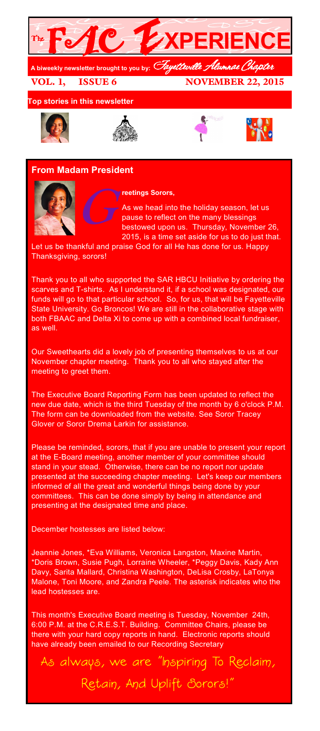

VOL. 1, ISSUE 6 NOVEMBER 22, 2015

**Top stories in this newsletter**









## **From Madam President**



## **reetings Sorors,**

 $G_p^{\prime}$ As we head into the holiday season, let us pause to reflect on the many blessings bestowed upon us. Thursday, November 26, 2015, is a time set aside for us to do just that.

Let us be thankful and praise God for all He has done for us. Happy Thanksgiving, sorors!

Thank you to all who supported the SAR HBCU Initiative by ordering the scarves and T-shirts. As I understand it, if a school was designated, our funds will go to that particular school. So, for us, that will be Fayetteville State University. Go Broncos! We are still in the collaborative stage with both FBAAC and Delta Xi to come up with a combined local fundraiser, as well.

Our Sweethearts did a lovely job of presenting themselves to us at our November chapter meeting. Thank you to all who stayed after the meeting to greet them.

The Executive Board Reporting Form has been updated to reflect the new due date, which is the third Tuesday of the month by 6 o'clock P.M. The form can be downloaded from the website. See Soror Tracey Glover or Soror Drema Larkin for assistance.

Please be reminded, sorors, that if you are unable to present your report at the E-Board meeting, another member of your committee should stand in your stead. Otherwise, there can be no report nor update presented at the succeeding chapter meeting. Let's keep our members informed of all the great and wonderful things being done by your committees. This can be done simply by being in attendance and presenting at the designated time and place.

December hostesses are listed below:

Jeannie Jones, \*Eva Williams, Veronica Langston, Maxine Martin, \*Doris Brown, Susie Pugh, Lorraine Wheeler, \*Peggy Davis, Kady Ann Davy, Sarita Mallard, Christina Washington, DeLisa Crosby, LaTonya Malone, Toni Moore, and Zandra Peele. The asterisk indicates who the lead hostesses are.

This month's Executive Board meeting is Tuesday, November 24th, 6:00 P.M. at the C.R.E.S.T. Building. Committee Chairs, please be there with your hard copy reports in hand. Electronic reports should have already been emailed to our Recording Secretary

As always, we are "Inspiring To Reclaim, Retain, And Uplift Sorors!"